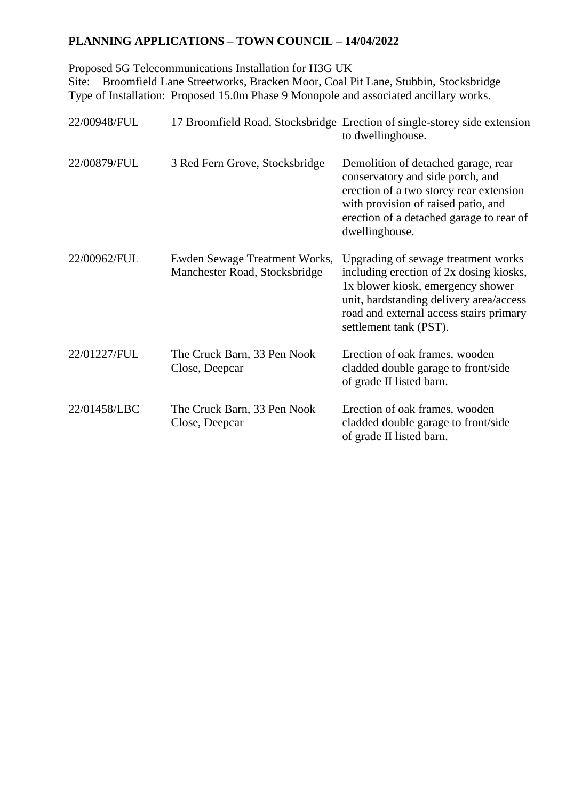## **PLANNING APPLICATIONS – TOWN COUNCIL – 14/04/2022**

Proposed 5G Telecommunications Installation for H3G UK

Site: Broomfield Lane Streetworks, Bracken Moor, Coal Pit Lane, Stubbin, Stocksbridge Type of Installation: Proposed 15.0m Phase 9 Monopole and associated ancillary works.

| 22/00948/FUL |                                                                | 17 Broomfield Road, Stocksbridge Erection of single-storey side extension<br>to dwellinghouse.                                                                                                                                      |
|--------------|----------------------------------------------------------------|-------------------------------------------------------------------------------------------------------------------------------------------------------------------------------------------------------------------------------------|
| 22/00879/FUL | 3 Red Fern Grove, Stocksbridge                                 | Demolition of detached garage, rear<br>conservatory and side porch, and<br>erection of a two storey rear extension<br>with provision of raised patio, and<br>erection of a detached garage to rear of<br>dwellinghouse.             |
| 22/00962/FUL | Ewden Sewage Treatment Works,<br>Manchester Road, Stocksbridge | Upgrading of sewage treatment works<br>including erection of 2x dosing kiosks,<br>1x blower kiosk, emergency shower<br>unit, hardstanding delivery area/access<br>road and external access stairs primary<br>settlement tank (PST). |
| 22/01227/FUL | The Cruck Barn, 33 Pen Nook<br>Close, Deepcar                  | Erection of oak frames, wooden<br>cladded double garage to front/side<br>of grade II listed barn.                                                                                                                                   |
| 22/01458/LBC | The Cruck Barn, 33 Pen Nook<br>Close, Deepcar                  | Erection of oak frames, wooden<br>cladded double garage to front/side<br>of grade II listed barn.                                                                                                                                   |